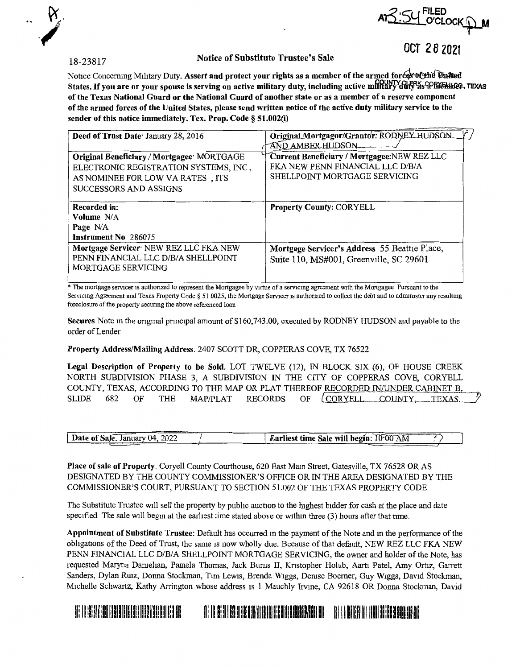

# **R**:54 FILED **fit** • J~ **O'CLOCK.ip-M**

## 18-23817 Notice of Substitute Trustee's Sale

OCT *2* 8 2021

Notice Concerning Military Duty. Assert and protect your rights as a member of the armed force of the United States. If you are or your spouse is serving on active military duty, including active military duty so the theo, TEXAS **of the Texas National Guard or the National Guard of another state or as a member of a reserve component of the armed forces of the United States, please send written notice of the active duty military service to the sender of this notice immediately. Tex. Prop. Code§ 51.002(i)** 

| Deed of Trust Date January 28, 2016        | Original Mortgagor/Grantor: RODNEY HUDSON     |
|--------------------------------------------|-----------------------------------------------|
|                                            | AND AMBER HUDSON-                             |
| Original Beneficiary / Mortgagee: MORTGAGE | Current Beneficiary / Mortgagee: NEW REZ LLC  |
| ELECTRONIC REGISTRATION SYSTEMS, INC,      | FK A NEW PENN FINANCIAL LLC D/B/A             |
| AS NOMINEE FOR LOW VA RATES, ITS           | SHELLPOINT MORTGAGE SERVICING                 |
| SUCCESSORS AND ASSIGNS                     |                                               |
|                                            |                                               |
| Recorded in:                               | <b>Property County: CORYELL</b>               |
| Volume N/A                                 |                                               |
| Page N/A                                   |                                               |
| Instrument No 286075                       |                                               |
| Mortgage Servicer NEW REZ LLC FKA NEW      | Mortgage Servicer's Address 55 Beattle Place, |
| PENN FINANCIAL LLC D/B/A SHELLPOINT        | Suite 110, MS#001, Greenville, SC 29601       |
| MORTGAGE SERVICING                         |                                               |
|                                            |                                               |

\* The mortgage servicer is authorized to represent the Mortgagee by virtue of a servicing agreement with the Mortgagee Pursuant to the Servicing Agreement and Texas Property Code § 51 0025, the Mortgage Servicer is authorized to collect the debt and to administer any resulting foreclosure of the property secunng the above referenced loan

**Secures** Note in the original principal amount of \$160,743.00, executed by RODNEY HUDSON and payable to the order of Lender

### **Property Address/Mailing Address.** 2407 SCOTT DR, COPPERAS COVE, TX 76522

**Legal Description of Property to be Sold.** LOT TWELVE (12), IN BLOCK SIX (6), OF HOUSE CREEK NORTH SUBDIVISION PHASE 3, A SUBDIVISION IN THE CITY OF COPPERAS COVE, CORYELL COUNTY, TEXAS, ACCORDING TO THE MAP OR PLAT THEREOF RECORDED IN/UNDER CABINET B SLIDE 682 OF THE MAP/PLAT RECORDS OF *CORYELL* COUNTY, TEXAS.

| Date of Sale. January 04, 2022<br>Earliest time Sale will begin: $10.00$ AM |     |  |
|-----------------------------------------------------------------------------|-----|--|
|                                                                             | --- |  |

**Place of sale of Property.** Coryell County Courthouse, 620 East Mam Street, Gatesville, TX 76528 OR AS DESIGNATED BY THE COUNTY COMMISSIONER'S OFFICE OR IN THE AREA DESIGNATED BY THE COMMISSIONER'S COURT, PURSUANT TO SECTION 51.002 OF THE TEXAS PROPERTY CODE

The Substimte Trustee will sell the property by pubhc auction to the highest bidder for cash at the place and date specified The sale will begin at the earliest time stated above or within three  $(3)$  hours after that time.

**Appointment of Substitute Trustee:** Default has occurred m the payment of the Note and m the performance of the obligations of the Deed of Trust, the same is now wholly due. Because of that default, NEW REZ LLC FKA NEW PENN FINANCIAL LLC D/B/A SHELLPOINT MORTGAGE SERVICING, the owner and holder of the Note, has requested Maryna Danielian, Pamela Thomas, Jack Burns II, Kristopher Holub, Aarti Patel, Amy Ortiz, Garrett Sanders, Dylan Rwz, Donna Stockman, Tim Lewis, Brenda Wiggs, Deruse Boerner, Guy Wiggs, David Stockman, Michelle Schwartz, Kathy Arrington whose address is 1 Mauchly Irvme, CA 92618 OR Donna Stockman, David

## Iii 11 !lill I illl lllllllllll!lllllllll!III Ii 1111 Iii 11 !Ii 11 I l!l llllilllll!llll!lilll I! 111111111111111 l!I ! 11111:1111 !!111111 ill:11111111111